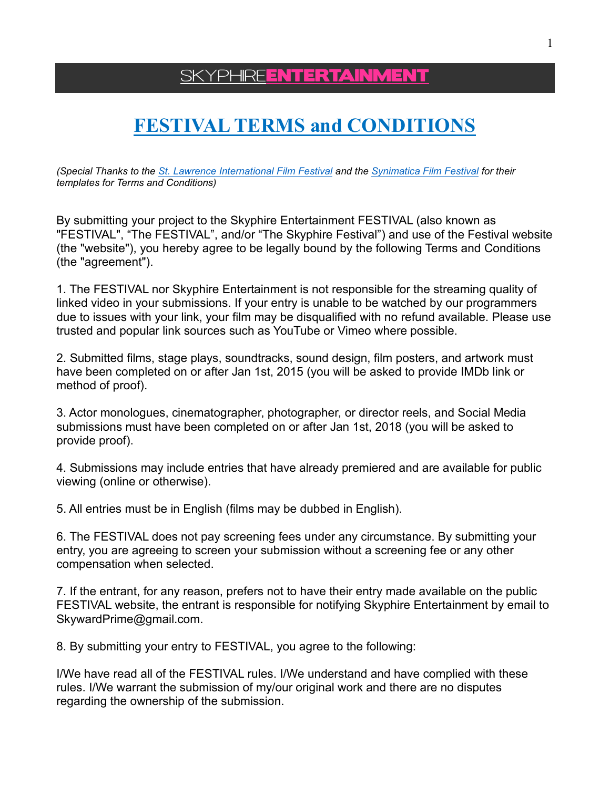SKYPHIRE**ENTERTAINMENT** 

# **FESTIVAL TERMS and CONDITIONS**

*(Special Thanks to the [St. Lawrence International Film Festival](https://www.stlawrencefilm.com/) and the [Synimatica Film Festival](https://synimatica.com/) for their templates for Terms and Conditions)*

By submitting your project to the Skyphire Entertainment FESTIVAL (also known as "FESTIVAL", "The FESTIVAL", and/or "The Skyphire Festival") and use of the Festival website (the "website"), you hereby agree to be legally bound by the following Terms and Conditions (the "agreement").

1. The FESTIVAL nor Skyphire Entertainment is not responsible for the streaming quality of linked video in your submissions. If your entry is unable to be watched by our programmers due to issues with your link, your film may be disqualified with no refund available. Please use trusted and popular link sources such as YouTube or Vimeo where possible.

2. Submitted films, stage plays, soundtracks, sound design, film posters, and artwork must have been completed on or after Jan 1st, 2015 (you will be asked to provide IMDb link or method of proof).

3. Actor monologues, cinematographer, photographer, or director reels, and Social Media submissions must have been completed on or after Jan 1st, 2018 (you will be asked to provide proof).

4. Submissions may include entries that have already premiered and are available for public viewing (online or otherwise).

5. All entries must be in English (films may be dubbed in English).

6. The FESTIVAL does not pay screening fees under any circumstance. By submitting your entry, you are agreeing to screen your submission without a screening fee or any other compensation when selected.

7. If the entrant, for any reason, prefers not to have their entry made available on the public FESTIVAL website, the entrant is responsible for notifying Skyphire Entertainment by email to SkywardPrime@gmail.com.

8. By submitting your entry to FESTIVAL, you agree to the following:

I/We have read all of the FESTIVAL rules. I/We understand and have complied with these rules. I/We warrant the submission of my/our original work and there are no disputes regarding the ownership of the submission.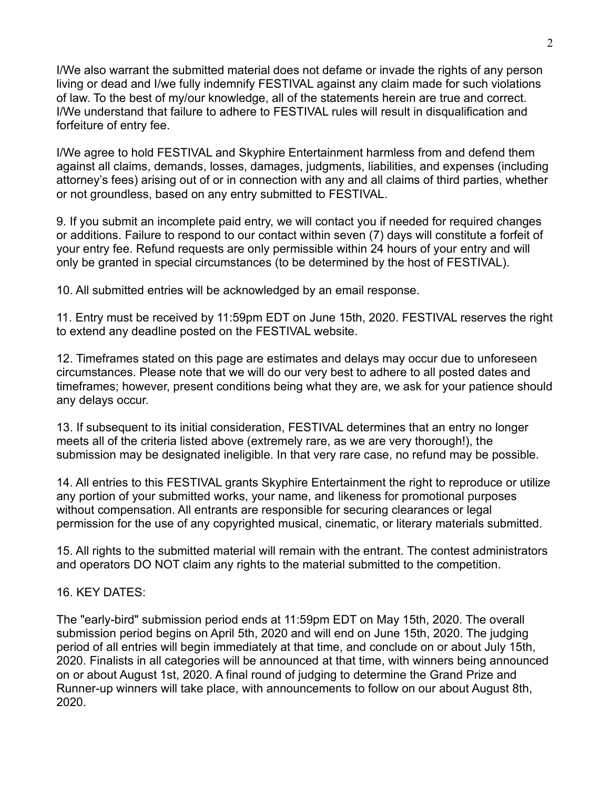I/We also warrant the submitted material does not defame or invade the rights of any person living or dead and I/we fully indemnify FESTIVAL against any claim made for such violations of law. To the best of my/our knowledge, all of the statements herein are true and correct. I/We understand that failure to adhere to FESTIVAL rules will result in disqualification and forfeiture of entry fee.

I/We agree to hold FESTIVAL and Skyphire Entertainment harmless from and defend them against all claims, demands, losses, damages, judgments, liabilities, and expenses (including attorney's fees) arising out of or in connection with any and all claims of third parties, whether or not groundless, based on any entry submitted to FESTIVAL.

9. If you submit an incomplete paid entry, we will contact you if needed for required changes or additions. Failure to respond to our contact within seven (7) days will constitute a forfeit of your entry fee. Refund requests are only permissible within 24 hours of your entry and will only be granted in special circumstances (to be determined by the host of FESTIVAL).

10. All submitted entries will be acknowledged by an email response.

11. Entry must be received by 11:59pm EDT on June 15th, 2020. FESTIVAL reserves the right to extend any deadline posted on the FESTIVAL website.

12. Timeframes stated on this page are estimates and delays may occur due to unforeseen circumstances. Please note that we will do our very best to adhere to all posted dates and timeframes; however, present conditions being what they are, we ask for your patience should any delays occur.

13. If subsequent to its initial consideration, FESTIVAL determines that an entry no longer meets all of the criteria listed above (extremely rare, as we are very thorough!), the submission may be designated ineligible. In that very rare case, no refund may be possible.

14. All entries to this FESTIVAL grants Skyphire Entertainment the right to reproduce or utilize any portion of your submitted works, your name, and likeness for promotional purposes without compensation. All entrants are responsible for securing clearances or legal permission for the use of any copyrighted musical, cinematic, or literary materials submitted.

15. All rights to the submitted material will remain with the entrant. The contest administrators and operators DO NOT claim any rights to the material submitted to the competition.

# 16. KEY DATES:

The "early-bird" submission period ends at 11:59pm EDT on May 15th, 2020. The overall submission period begins on April 5th, 2020 and will end on June 15th, 2020. The judging period of all entries will begin immediately at that time, and conclude on or about July 15th, 2020. Finalists in all categories will be announced at that time, with winners being announced on or about August 1st, 2020. A final round of judging to determine the Grand Prize and Runner-up winners will take place, with announcements to follow on our about August 8th, 2020.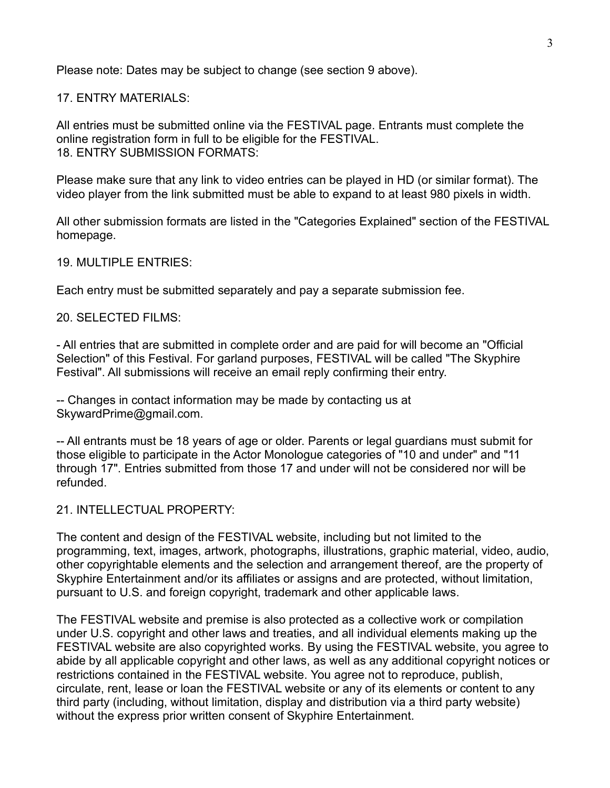Please note: Dates may be subject to change (see section 9 above).

17. ENTRY MATERIALS:

All entries must be submitted online via the FESTIVAL page. Entrants must complete the online registration form in full to be eligible for the FESTIVAL. 18. ENTRY SUBMISSION FORMATS:

Please make sure that any link to video entries can be played in HD (or similar format). The video player from the link submitted must be able to expand to at least 980 pixels in width.

All other submission formats are listed in the "Categories Explained" section of the FESTIVAL homepage.

19. MULTIPLE ENTRIES:

Each entry must be submitted separately and pay a separate submission fee.

20. SELECTED FILMS:

- All entries that are submitted in complete order and are paid for will become an "Official Selection" of this Festival. For garland purposes, FESTIVAL will be called "The Skyphire Festival". All submissions will receive an email reply confirming their entry.

-- Changes in contact information may be made by contacting us at SkywardPrime@gmail.com.

-- All entrants must be 18 years of age or older. Parents or legal guardians must submit for those eligible to participate in the Actor Monologue categories of "10 and under" and "11 through 17". Entries submitted from those 17 and under will not be considered nor will be refunded.

#### 21. INTELLECTUAL PROPERTY:

The content and design of the FESTIVAL website, including but not limited to the programming, text, images, artwork, photographs, illustrations, graphic material, video, audio, other copyrightable elements and the selection and arrangement thereof, are the property of Skyphire Entertainment and/or its affiliates or assigns and are protected, without limitation, pursuant to U.S. and foreign copyright, trademark and other applicable laws.

The FESTIVAL website and premise is also protected as a collective work or compilation under U.S. copyright and other laws and treaties, and all individual elements making up the FESTIVAL website are also copyrighted works. By using the FESTIVAL website, you agree to abide by all applicable copyright and other laws, as well as any additional copyright notices or restrictions contained in the FESTIVAL website. You agree not to reproduce, publish, circulate, rent, lease or loan the FESTIVAL website or any of its elements or content to any third party (including, without limitation, display and distribution via a third party website) without the express prior written consent of Skyphire Entertainment.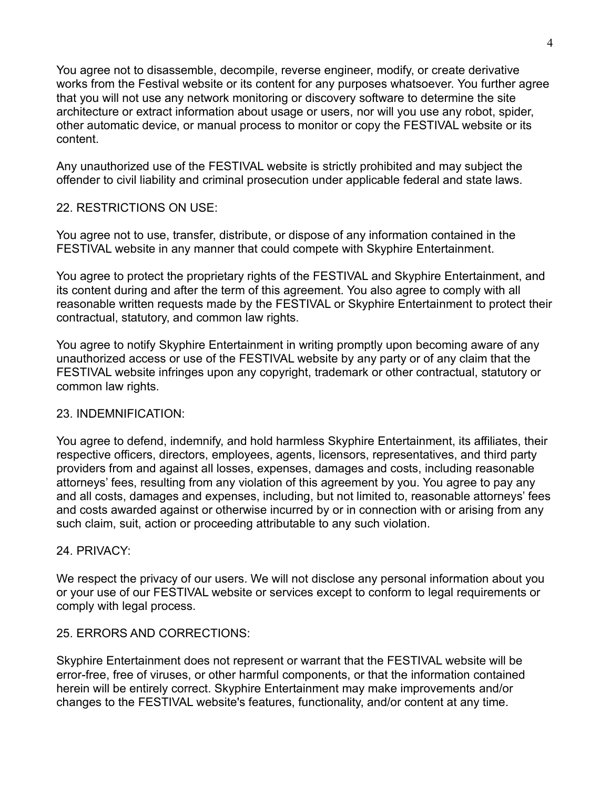You agree not to disassemble, decompile, reverse engineer, modify, or create derivative works from the Festival website or its content for any purposes whatsoever. You further agree that you will not use any network monitoring or discovery software to determine the site architecture or extract information about usage or users, nor will you use any robot, spider, other automatic device, or manual process to monitor or copy the FESTIVAL website or its content.

Any unauthorized use of the FESTIVAL website is strictly prohibited and may subject the offender to civil liability and criminal prosecution under applicable federal and state laws.

# 22. RESTRICTIONS ON USE:

You agree not to use, transfer, distribute, or dispose of any information contained in the FESTIVAL website in any manner that could compete with Skyphire Entertainment.

You agree to protect the proprietary rights of the FESTIVAL and Skyphire Entertainment, and its content during and after the term of this agreement. You also agree to comply with all reasonable written requests made by the FESTIVAL or Skyphire Entertainment to protect their contractual, statutory, and common law rights.

You agree to notify Skyphire Entertainment in writing promptly upon becoming aware of any unauthorized access or use of the FESTIVAL website by any party or of any claim that the FESTIVAL website infringes upon any copyright, trademark or other contractual, statutory or common law rights.

# 23. INDEMNIFICATION:

You agree to defend, indemnify, and hold harmless Skyphire Entertainment, its affiliates, their respective officers, directors, employees, agents, licensors, representatives, and third party providers from and against all losses, expenses, damages and costs, including reasonable attorneys' fees, resulting from any violation of this agreement by you. You agree to pay any and all costs, damages and expenses, including, but not limited to, reasonable attorneys' fees and costs awarded against or otherwise incurred by or in connection with or arising from any such claim, suit, action or proceeding attributable to any such violation.

# 24. PRIVACY:

We respect the privacy of our users. We will not disclose any personal information about you or your use of our FESTIVAL website or services except to conform to legal requirements or comply with legal process.

# 25. ERRORS AND CORRECTIONS:

Skyphire Entertainment does not represent or warrant that the FESTIVAL website will be error-free, free of viruses, or other harmful components, or that the information contained herein will be entirely correct. Skyphire Entertainment may make improvements and/or changes to the FESTIVAL website's features, functionality, and/or content at any time.